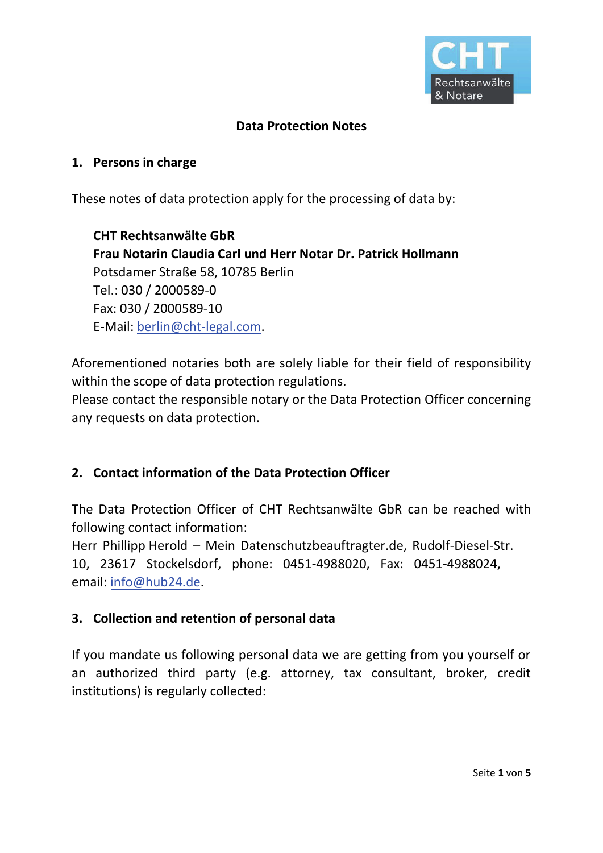

### **Data Protection Notes**

#### **1. Persons in charge**

These notes of data protection apply for the processing of data by:

**CHT Rechtsanwälte GbR Frau Notarin Claudia Carl und Herr Notar Dr. Patrick Hollmann**  Potsdamer Straße 58, 10785 Berlin Tel.: 030 / 2000589-0 Fax: 030 / 2000589-10 E-Mail: berlin@cht-legal.com.

Aforementioned notaries both are solely liable for their field of responsibility within the scope of data protection regulations.

Please contact the responsible notary or the Data Protection Officer concerning any requests on data protection.

#### **2. Contact information of the Data Protection Officer**

The Data Protection Officer of CHT Rechtsanwälte GbR can be reached with following contact information:

Herr Phillipp Herold – Mein Datenschutzbeauftragter.de, Rudolf-Diesel-Str. 10, 23617 Stockelsdorf, phone: 0451-4988020, Fax: 0451-4988024, email: info@hub24.de.

#### **3. Collection and retention of personal data**

If you mandate us following personal data we are getting from you yourself or an authorized third party (e.g. attorney, tax consultant, broker, credit institutions) is regularly collected: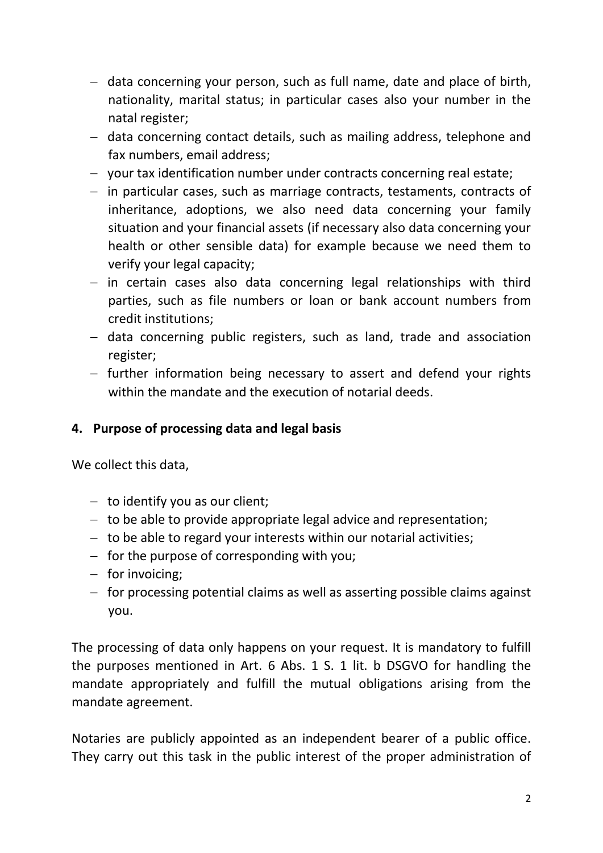- data concerning your person, such as full name, date and place of birth, nationality, marital status; in particular cases also your number in the natal register;
- data concerning contact details, such as mailing address, telephone and fax numbers, email address;
- your tax identification number under contracts concerning real estate;
- in particular cases, such as marriage contracts, testaments, contracts of inheritance, adoptions, we also need data concerning your family situation and your financial assets (if necessary also data concerning your health or other sensible data) for example because we need them to verify your legal capacity;
- $-$  in certain cases also data concerning legal relationships with third parties, such as file numbers or loan or bank account numbers from credit institutions;
- data concerning public registers, such as land, trade and association register;
- $-$  further information being necessary to assert and defend your rights within the mandate and the execution of notarial deeds.

## **4. Purpose of processing data and legal basis**

We collect this data,

- $-$  to identify you as our client;
- $-$  to be able to provide appropriate legal advice and representation;
- $-$  to be able to regard your interests within our notarial activities;
- $-$  for the purpose of corresponding with you;
- $-$  for invoicing;
- $-$  for processing potential claims as well as asserting possible claims against you.

The processing of data only happens on your request. It is mandatory to fulfill the purposes mentioned in Art. 6 Abs. 1 S. 1 lit. b DSGVO for handling the mandate appropriately and fulfill the mutual obligations arising from the mandate agreement.

Notaries are publicly appointed as an independent bearer of a public office. They carry out this task in the public interest of the proper administration of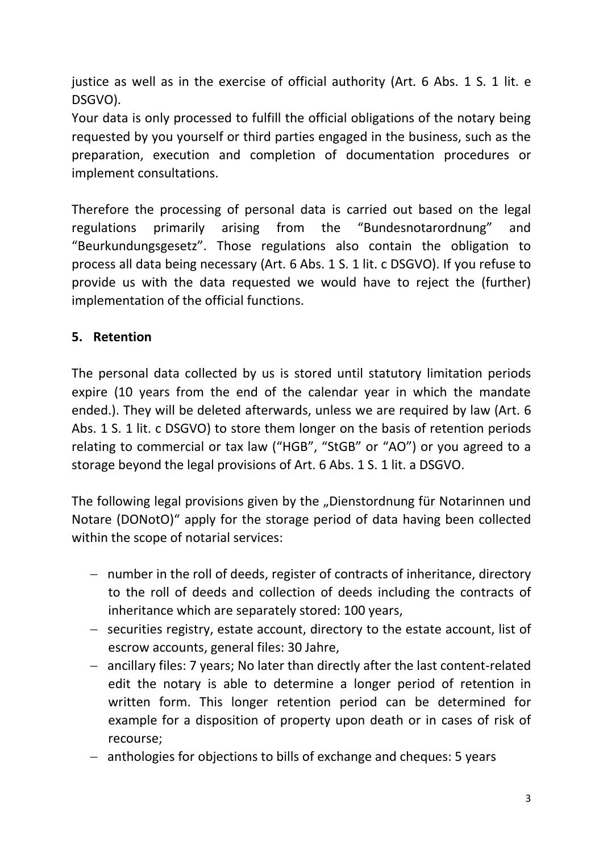justice as well as in the exercise of official authority (Art. 6 Abs. 1 S. 1 lit. e DSGVO).

Your data is only processed to fulfill the official obligations of the notary being requested by you yourself or third parties engaged in the business, such as the preparation, execution and completion of documentation procedures or implement consultations.

Therefore the processing of personal data is carried out based on the legal regulations primarily arising from the "Bundesnotarordnung" and "Beurkundungsgesetz". Those regulations also contain the obligation to process all data being necessary (Art. 6 Abs. 1 S. 1 lit. c DSGVO). If you refuse to provide us with the data requested we would have to reject the (further) implementation of the official functions.

# **5. Retention**

The personal data collected by us is stored until statutory limitation periods expire (10 years from the end of the calendar year in which the mandate ended.). They will be deleted afterwards, unless we are required by law (Art. 6 Abs. 1 S. 1 lit. c DSGVO) to store them longer on the basis of retention periods relating to commercial or tax law ("HGB", "StGB" or "AO") or you agreed to a storage beyond the legal provisions of Art. 6 Abs. 1 S. 1 lit. a DSGVO.

The following legal provisions given by the "Dienstordnung für Notarinnen und Notare (DONotO)" apply for the storage period of data having been collected within the scope of notarial services:

- number in the roll of deeds, register of contracts of inheritance, directory to the roll of deeds and collection of deeds including the contracts of inheritance which are separately stored: 100 years,
- $-$  securities registry, estate account, directory to the estate account, list of escrow accounts, general files: 30 Jahre,
- ancillary files: 7 years; No later than directly after the last content-related edit the notary is able to determine a longer period of retention in written form. This longer retention period can be determined for example for a disposition of property upon death or in cases of risk of recourse;
- anthologies for objections to bills of exchange and cheques: 5 years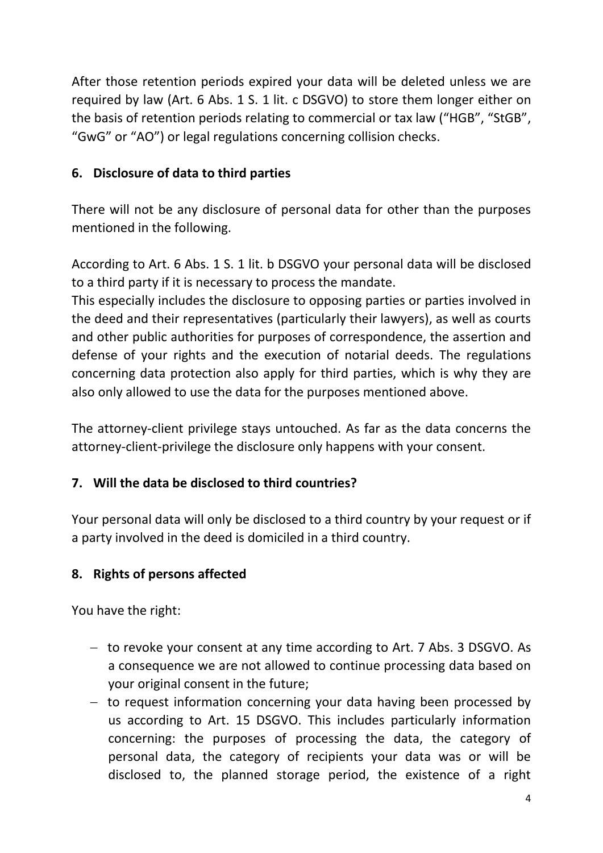After those retention periods expired your data will be deleted unless we are required by law (Art. 6 Abs. 1 S. 1 lit. c DSGVO) to store them longer either on the basis of retention periods relating to commercial or tax law ("HGB", "StGB", "GwG" or "AO") or legal regulations concerning collision checks.

# **6. Disclosure of data to third parties**

There will not be any disclosure of personal data for other than the purposes mentioned in the following.

According to Art. 6 Abs. 1 S. 1 lit. b DSGVO your personal data will be disclosed to a third party if it is necessary to process the mandate.

This especially includes the disclosure to opposing parties or parties involved in the deed and their representatives (particularly their lawyers), as well as courts and other public authorities for purposes of correspondence, the assertion and defense of your rights and the execution of notarial deeds. The regulations concerning data protection also apply for third parties, which is why they are also only allowed to use the data for the purposes mentioned above.

The attorney-client privilege stays untouched. As far as the data concerns the attorney-client-privilege the disclosure only happens with your consent.

# **7. Will the data be disclosed to third countries?**

Your personal data will only be disclosed to a third country by your request or if a party involved in the deed is domiciled in a third country.

## **8. Rights of persons affected**

You have the right:

- to revoke your consent at any time according to Art. 7 Abs. 3 DSGVO. As a consequence we are not allowed to continue processing data based on your original consent in the future;
- $-$  to request information concerning your data having been processed by us according to Art. 15 DSGVO. This includes particularly information concerning: the purposes of processing the data, the category of personal data, the category of recipients your data was or will be disclosed to, the planned storage period, the existence of a right